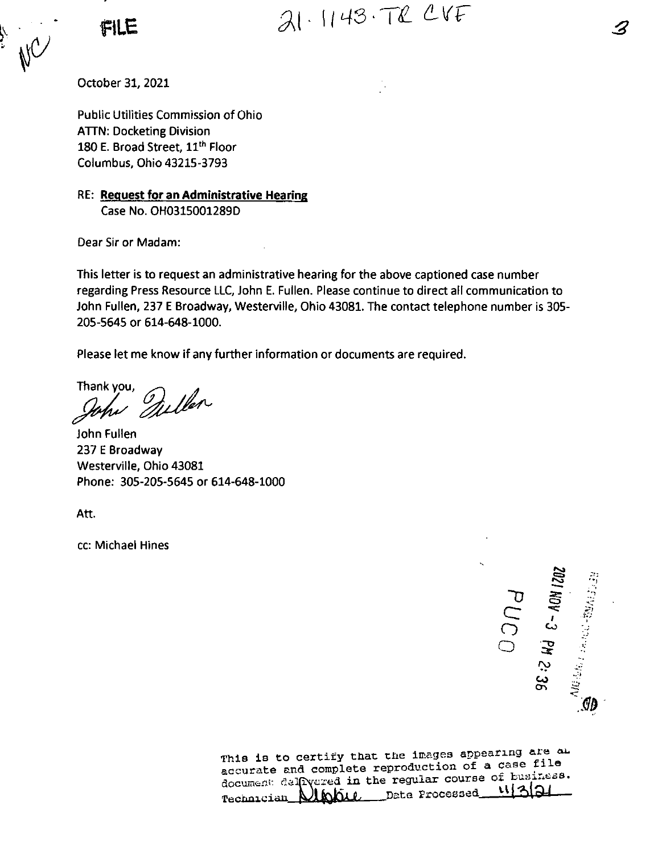FILE  $31.1143.72$  CVF

October 31, 2021

Public Utilities Commission of Ohio ATTN: Docketing Division 180 E. Broad Street, 11<sup>th</sup> Floor Columbus, Ohio 43215-3793

RE: Request for an Administrative Hearing Case No. OH0315001289D

Dear Sir or Madam:

This letter is to request an administrative hearing for the above captioned case number regarding Press Resource LLC, John E. Fullen. Please continue to direct all communication to John Fullen, 237 <sup>E</sup> Broadway, Westerville, Ohio 43081. The contact telephone number is 305- 205-5645 or 614-648-1000.

Please let me know if any further information or documents are required.

Thank you, Quillen

John Fullen 237 <sup>E</sup> Broadway Westerville, Ohio 43081 Phone; 305-205-5645 or 614-648-1000

Att.

cc: Michael Hines

/ **~D**  $\overline{\subseteq}$ )<br>O o **ADM** \*.? . i; **c?** <u>ಹ</u> *:r: '•I*

This is to certify that the images appearing are This is to certify that the images appearing are to<br>accurate and complete reproduction of a case file accurate and complete reproduction of a case of these.<br>document delivered in the regular course of business. ぃしへい Technician Albanic Date Processed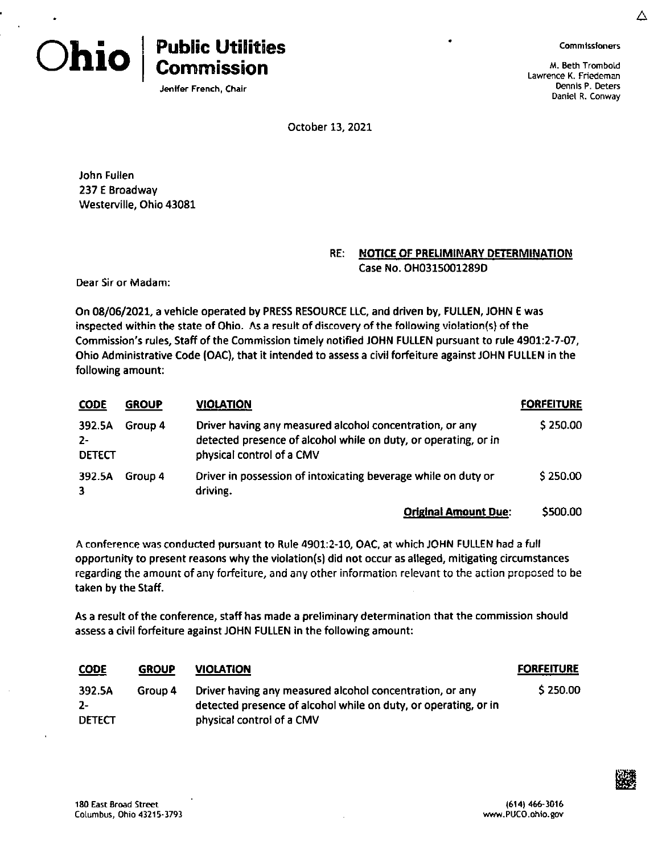

**A**

M. Beth TromboLd Lawrence K. Friedeman Dennis P. Deters Daniel R. Conway





Jenifer French, Chair

October 13, 2021

John Fullen 237 E Broadway Westerville, Ohio 43081

## RE; NOTICE OF PRELIMINARY DETERMINATION Case No. OH0315001289D

Dear Sir or Madam:

On 08/06/2021, a vehicle operated by PRESS RESOURCE LLC, and driven by, FULLEN, JOHN <sup>E</sup> was inspected within the state of Ohio. As a result of discovery of the following violation(s) of the Commission's rules. Staff of the Commission timely notified JOHN FULLEN pursuant to rule 4901:2-7-07, Ohio Administrative Code (OAC), that it intended to assess <sup>a</sup> civil forfeiture against JOHN FULLEN in the following amount:

| <b>CODE</b>                      | <b>GROUP</b> | <b>VIOLATION</b>                                                                                                                                         | <b>FORFEITURE</b> |
|----------------------------------|--------------|----------------------------------------------------------------------------------------------------------------------------------------------------------|-------------------|
| 392.5A<br>$2 -$<br><b>DETECT</b> | Group 4      | Driver having any measured alcohol concentration, or any<br>detected presence of alcohol while on duty, or operating, or in<br>physical control of a CMV | \$250.00          |
| 392.5A<br>3                      | Group 4      | Driver in possession of intoxicating beverage while on duty or<br>driving.                                                                               | \$250.00          |
|                                  |              |                                                                                                                                                          |                   |

## **Original Amount Due:** \$500.00

A conference was conducted pursuant to Rule 4901:2-10, OAC, at which JOHN FULLEN had a full opportunity to present reasons why the violation(s) did not occur as alleged, mitigating circumstances regarding the amount of any forfeiture, and any other information relevant to the action proposed to be taken by the Staff.

As a result of the conference, staff has made a preliminary determination that the commission should assess a civil forfeiture against JOHN FULLEN in the following amount:

| <b>CODE</b>   | <b>GROUP</b> | <b>VIOLATION</b>                                                | <b>FORFEITURE</b> |
|---------------|--------------|-----------------------------------------------------------------|-------------------|
| 392.5A        | Group 4      | Driver having any measured alcohol concentration, or any        | \$250.00          |
| $2 -$         |              | detected presence of alcohol while on duty, or operating, or in |                   |
| <b>DETECT</b> |              | physical control of a CMV                                       |                   |